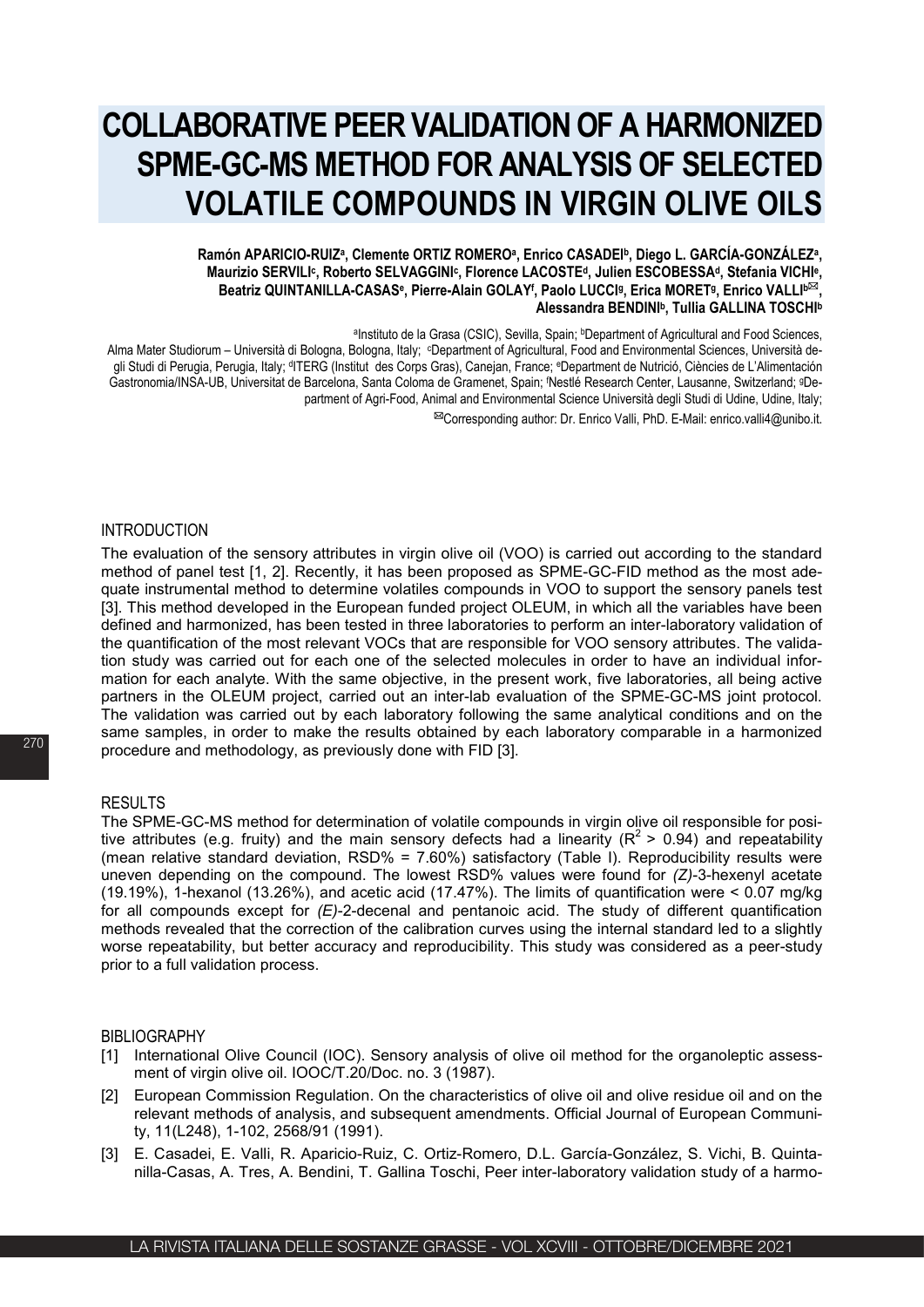# **COLLABORATIVE PEER VALIDATION OF A HARMONIZED SPME-GC-MS METHOD FOR ANALYSIS OF SELECTED VOLATILE COMPOUNDS IN VIRGIN OLIVE OILS**

## **Ramón APARICIO-RUIZa, Clemente ORTIZ ROMEROa, Enrico CASADEIb, Diego L. GARCÍA-GONZÁLEZa, Maurizio SERVILIc, Roberto SELVAGGINIc, Florence LACOSTEd, Julien ESCOBESSAd, Stefania VICHIe,** Beatriz QUINTANILLA-CASAS<sup>e</sup>, Pierre-Alain GOLAY<sup>f</sup>, Paolo LUCCI<sup>g</sup>, Erica MORET<sup>g</sup>, Enrico VALLI<sup>b⊠</sup>, **Alessandra BENDINIb, Tullia GALLINA TOSCHIb**

aInstituto de la Grasa (CSIC), Sevilla, Spain; *bDepartment of Agricultural and Food Sciences*, Alma Mater Studiorum – Università di Bologna, Bologna, Italy; cDepartment of Agricultural, Food and Environmental Sciences, Università degli Studi di Perugia, Perugia, Italy; dITERG (Institut des Corps Gras), Canejan, France; eDepartment de Nutrició, Ciències de L'Alimentación Gastronomia/INSA-UB, Universitat de Barcelona, Santa Coloma de Gramenet, Spain; fNestlé Research Center, Lausanne, Switzerland; <sup>g</sup>Department of Agri-Food, Animal and Environmental Science Università degli Studi di Udine, Udine, Italy;

Corresponding author: Dr. Enrico Valli, PhD. E-Mail: enrico.valli4@unibo.it.

#### INTRODUCTION

The evaluation of the sensory attributes in virgin olive oil (VOO) is carried out according to the standard method of panel test [1, 2]. Recently, it has been proposed as SPME-GC-FID method as the most adequate instrumental method to determine volatiles compounds in VOO to support the sensory panels test [3]. This method developed in the European funded project OLEUM, in which all the variables have been defined and harmonized, has been tested in three laboratories to perform an inter-laboratory validation of the quantification of the most relevant VOCs that are responsible for VOO sensory attributes. The validation study was carried out for each one of the selected molecules in order to have an individual information for each analyte. With the same objective, in the present work, five laboratories, all being active partners in the OLEUM project, carried out an inter-lab evaluation of the SPME-GC-MS joint protocol. The validation was carried out by each laboratory following the same analytical conditions and on the same samples, in order to make the results obtained by each laboratory comparable in a harmonized procedure and methodology, as previously done with FID [3].

#### RESULTS

The SPME-GC-MS method for determination of volatile compounds in virgin olive oil responsible for positive attributes (e.g. fruity) and the main sensory defects had a linearity ( $R^2 > 0.94$ ) and repeatability (mean relative standard deviation, RSD% = 7.60%) satisfactory (Table I). Reproducibility results were uneven depending on the compound. The lowest RSD% values were found for *(Z)*-3-hexenyl acetate (19.19%), 1-hexanol (13.26%), and acetic acid (17.47%). The limits of quantification were < 0.07 mg/kg for all compounds except for *(E)*-2-decenal and pentanoic acid. The study of different quantification methods revealed that the correction of the calibration curves using the internal standard led to a slightly worse repeatability, but better accuracy and reproducibility. This study was considered as a peer-study prior to a full validation process.

#### BIBLIOGRAPHY

- [1] International Olive Council (IOC). Sensory analysis of olive oil method for the organoleptic assessment of virgin olive oil. IOOC/T.20/Doc. no. 3 (1987).
- [2] European Commission Regulation. On the characteristics of olive oil and olive residue oil and on the relevant methods of analysis, and subsequent amendments. Official Journal of European Community, 11(L248), 1-102, 2568/91 (1991).
- [3] E. Casadei, E. Valli, R. Aparicio-Ruiz, C. Ortiz-Romero, D.L. García-González, S. Vichi, B. Quintanilla-Casas, A. Tres, A. Bendini, T. Gallina Toschi, Peer inter-laboratory validation study of a harmo-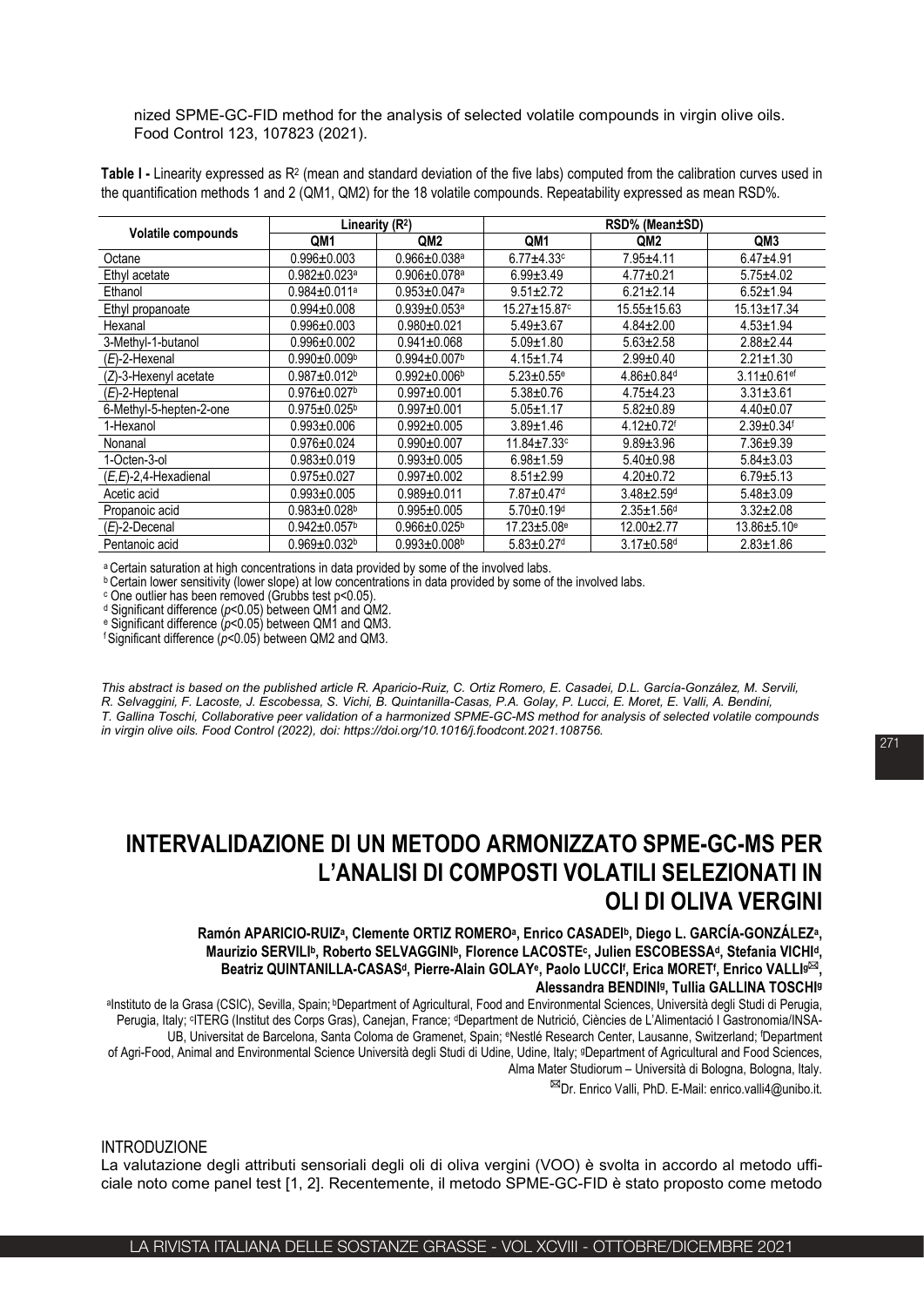nized SPME-GC-FID method for the analysis of selected volatile compounds in virgin olive oils. Food Control 123, 107823 (2021).

**Table I -** Linearity expressed as R2 (mean and standard deviation of the five labs) computed from the calibration curves used in the quantification methods 1 and 2 (QM1, QM2) for the 18 volatile compounds. Repeatability expressed as mean RSD%.

| Volatile compounds       | Linearity $(R2)$               |                                | RSD% (Mean±SD)                |                              |                               |
|--------------------------|--------------------------------|--------------------------------|-------------------------------|------------------------------|-------------------------------|
|                          | QM1                            | QM <sub>2</sub>                | QM <sub>1</sub>               | QM2                          | QM <sub>3</sub>               |
| Octane                   | $0.996 \pm 0.003$              | $0.966 \pm 0.038$ a            | $6.77 + 4.33$ c               | $7.95 + 4.11$                | $6.47 + 4.91$                 |
| Ethyl acetate            | $0.982 + 0.023$ <sup>a</sup>   | $0.906 \pm 0.078$ a            | $6.99 \pm 3.49$               | $4.77 + 0.21$                | $5.75 \pm 4.02$               |
| Ethanol                  | $0.984 \pm 0.011$ a            | $0.953 \pm 0.047$ a            | $9.51 \pm 2.72$               | $6.21 \pm 2.14$              | $6.52 \pm 1.94$               |
| Ethyl propanoate         | $0.994 \pm 0.008$              | $0.939 + 0.053$ <sup>a</sup>   | 15.27±15.87°                  | 15.55±15.63                  | $15.13 \pm 17.34$             |
| Hexanal                  | $0.996 + 0.003$                | $0.980 + 0.021$                | $5.49 \pm 3.67$               | $4.84 \pm 2.00$              | $4.53 \pm 1.94$               |
| 3-Methyl-1-butanol       | $0.996 + 0.002$                | $0.941 \pm 0.068$              | $5.09 \pm 1.80$               | $5.63 \pm 2.58$              | $2.88 \pm 2.44$               |
| $(E)$ -2-Hexenal         | $0.990 \pm 0.009^{\circ}$      | $0.994 \pm 0.007$ <sup>b</sup> | $4.15 \pm 1.74$               | $2.99 \pm 0.40$              | $2.21 \pm 1.30$               |
| $(Z)$ -3-Hexenyl acetate | $0.987 \pm 0.012$ <sup>b</sup> | $0.992 \pm 0.006^{\circ}$      | $5.23 \pm 0.55$ <sup>e</sup>  | $4.86 \pm 0.84$ <sup>d</sup> | $3.11 \pm 0.61$ <sup>ef</sup> |
| $(E)$ -2-Heptenal        | $0.976 \pm 0.027$              | $0.997 + 0.001$                | $5.38 \pm 0.76$               | $4.75 + 4.23$                | $3.31 \pm 3.61$               |
| 6-Methyl-5-hepten-2-one  | $0.975 \pm 0.025$ <sup>b</sup> | $0.997 + 0.001$                | $5.05 \pm 1.17$               | $5.82 \pm 0.89$              | $4.40 \pm 0.07$               |
| 1-Hexanol                | $0.993 + 0.006$                | $0.992 + 0.005$                | $3.89 + 1.46$                 | $4.12 \pm 0.72$ <sup>f</sup> | $2.39 \pm 0.34$ <sup>f</sup>  |
| Nonanal                  | $0.976 \pm 0.024$              | $0.990 + 0.007$                | $11.84 \pm 7.33$ c            | $9.89 \pm 3.96$              | $7.36 + 9.39$                 |
| 1-Octen-3-ol             | $0.983 + 0.019$                | $0.993 + 0.005$                | $6.98 \pm 1.59$               | $5.40 \pm 0.98$              | $5.84 \pm 3.03$               |
| $(E,E)$ -2,4-Hexadienal  | $0.975 \pm 0.027$              | $0.997 + 0.002$                | $8.51 \pm 2.99$               | $4.20 \pm 0.72$              | $6.79 + 5.13$                 |
| Acetic acid              | $0.993 + 0.005$                | $0.989 + 0.011$                | 7.87±0.47 <sup>d</sup>        | $3.48 \pm 2.59$ <sup>d</sup> | $5.48 \pm 3.09$               |
| Propanoic acid           | $0.983 \pm 0.028$ <sup>b</sup> | $0.995 + 0.005$                | $5.70 \pm 0.19$ <sup>d</sup>  | $2.35 \pm 1.56$ <sup>d</sup> | $3.32 \pm 2.08$               |
| $(E)$ -2-Decenal         | $0.942 \pm 0.057$ <sup>b</sup> | $0.966 \pm 0.025^{\circ}$      | $17.23 \pm 5.08$ <sup>e</sup> | $12.00 + 2.77$               | $13.86 + 5.10$ <sup>e</sup>   |
| Pentanoic acid           | $0.969 \pm 0.032$              | $0.993 \pm 0.008$ <sup>b</sup> | $5.83 \pm 0.27$ <sup>d</sup>  | $3.17 \pm 0.58$ <sup>d</sup> | $2.83 \pm 1.86$               |

a Certain saturation at high concentrations in data provided by some of the involved labs.

**b Certain lower sensitivity (lower slope) at low concentrations in data provided by some of the involved labs.** c One outlier has been removed (Grubbs test p<0.05). d Significant difference ( $p$ <0.05) between QM1 and QM2

<sup>e</sup> Significant difference ( $p$ <0.05) between QM1 and QM3.<br><sup>f</sup> Significant difference ( $p$ <0.05) between QM2 and QM3.

*This abstract is based on the published article R. Aparicio-Ruiz, C. Ortiz Romero, E. Casadei, D.L. García-González, M. Servili, R. Selvaggini, F. Lacoste, J. Escobessa, S. Vichi, B. Quintanilla-Casas, P.A. Golay, P. Lucci, E. Moret, E. Valli, A. Bendini, T. Gallina Toschi, Collaborative peer validation of a harmonized SPME-GC-MS method for analysis of selected volatile compounds in virgin olive oils. Food Control (2022), doi: https://doi.org/10.1016/j.foodcont.2021.108756.*

# **INTERVALIDAZIONE DI UN METODO ARMONIZZATO SPME-GC-MS PER L'ANALISI DI COMPOSTI VOLATILI SELEZIONATI IN OLI DI OLIVA VERGINI**

**Ramón APARICIO-RUIZa, Clemente ORTIZ ROMEROa, Enrico CASADEIb, Diego L. GARCÍA-GONZÁLEZa, Maurizio SERVILIb, Roberto SELVAGGINIb, Florence LACOSTEc, Julien ESCOBESSAd, Stefania VICHId, Beatriz QUINTANILLA-CASASd, Pierre-Alain GOLAYe, Paolo LUCCIf , Erica MORETf , Enrico VALLIg, Alessandra BENDINIg, Tullia GALLINA TOSCHIg**

aInstituto de la Grasa (CSIC), Sevilla, Spain; <sup>b</sup>Department of Agricultural, Food and Environmental Sciences, Università degli Studi di Perugia, Perugia, Italy; <sup>d</sup>ITERG (Institut des Corps Gras), Canejan, France; <sup>d</sup>Department de Nutrició, Ciències de L'Alimentació I Gastronomia/INSA-UB, Universitat de Barcelona, Santa Coloma de Gramenet, Spain; <sup>e</sup>Nestlé Research Center, Lausanne, Switzerland; <sup>f</sup>Department of Agri-Food, Animal and Environmental Science Università degli Studi di Udine, Udine, Italy; gDepartment of Agricultural and Food Sciences, Alma Mater Studiorum – Università di Bologna, Bologna, Italy.

<sup>⊠</sup>Dr. Enrico Valli, PhD. E-Mail: enrico.valli4@unibo.it.

INTRODUZIONE

La valutazione degli attributi sensoriali degli oli di oliva vergini (VOO) è svolta in accordo al metodo ufficiale noto come panel test [1, 2]. Recentemente, il metodo SPME-GC-FID è stato proposto come metodo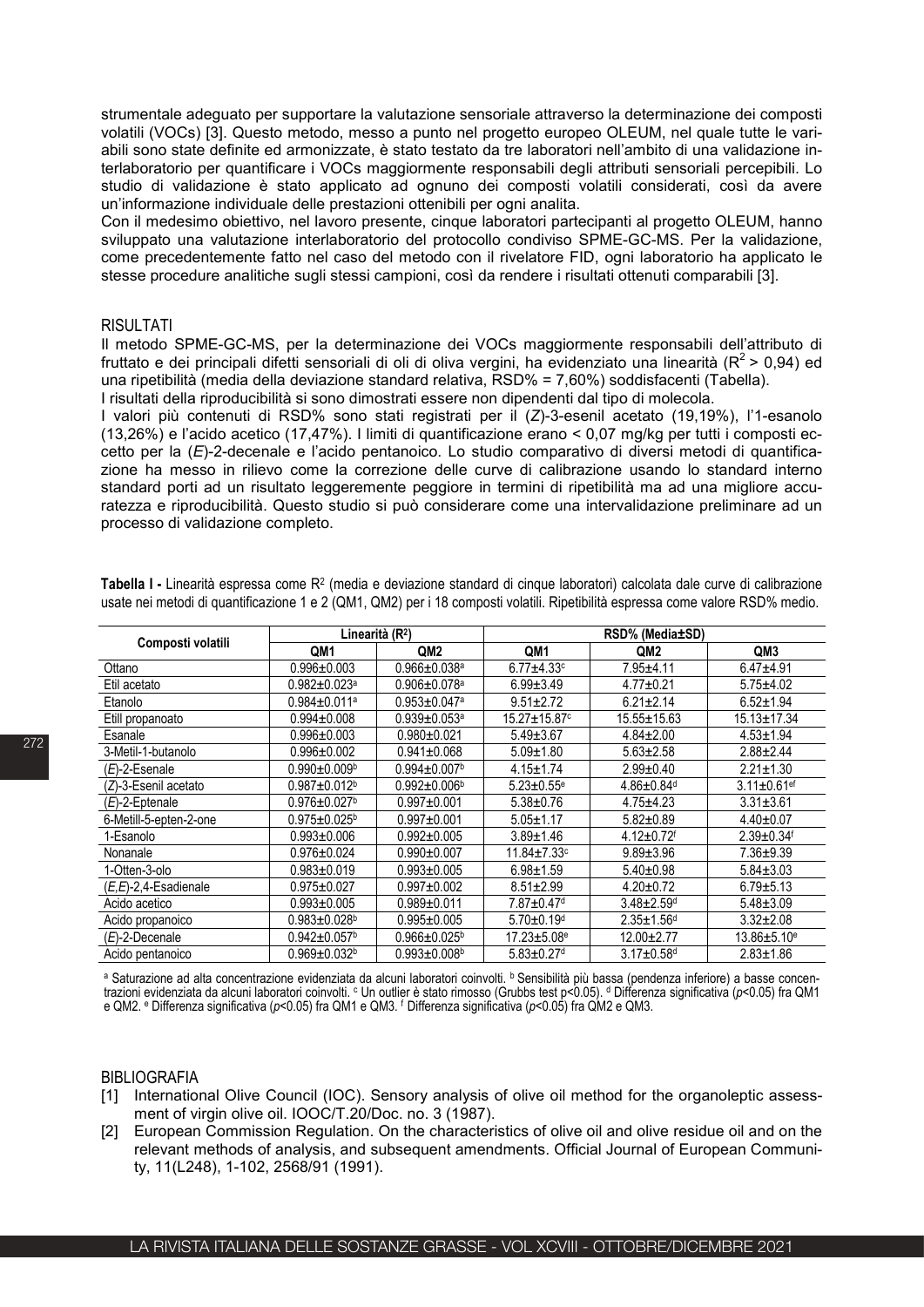strumentale adeguato per supportare la valutazione sensoriale attraverso la determinazione dei composti volatili (VOCs) [3]. Questo metodo, messo a punto nel progetto europeo OLEUM, nel quale tutte le variabili sono state definite ed armonizzate, è stato testato da tre laboratori nell'ambito di una validazione interlaboratorio per quantificare i VOCs maggiormente responsabili degli attributi sensoriali percepibili. Lo studio di validazione è stato applicato ad ognuno dei composti volatili considerati, così da avere un'informazione individuale delle prestazioni ottenibili per ogni analita.

Con il medesimo obiettivo, nel lavoro presente, cinque laboratori partecipanti al progetto OLEUM, hanno sviluppato una valutazione interlaboratorio del protocollo condiviso SPME-GC-MS. Per la validazione, come precedentemente fatto nel caso del metodo con il rivelatore FID, ogni laboratorio ha applicato le stesse procedure analitiche sugli stessi campioni, così da rendere i risultati ottenuti comparabili [3].

### RISULTATI

Il metodo SPME-GC-MS, per la determinazione dei VOCs maggiormente responsabili dell'attributo di fruttato e dei principali difetti sensoriali di oli di oliva vergini, ha evidenziato una linearità ( $R^2$  > 0,94) ed una ripetibilità (media della deviazione standard relativa, RSD% = 7,60%) soddisfacenti (Tabella). I risultati della riproducibilità si sono dimostrati essere non dipendenti dal tipo di molecola.

I valori più contenuti di RSD% sono stati registrati per il (*Z*)-3-esenil acetato (19,19%), l'1-esanolo (13,26%) e l'acido acetico (17,47%). I limiti di quantificazione erano < 0,07 mg/kg per tutti i composti eccetto per la (*E*)-2-decenale e l'acido pentanoico. Lo studio comparativo di diversi metodi di quantificazione ha messo in rilievo come la correzione delle curve di calibrazione usando lo standard interno standard porti ad un risultato leggeremente peggiore in termini di ripetibilità ma ad una migliore accuratezza e riproducibilità. Questo studio si può considerare come una intervalidazione preliminare ad un processo di validazione completo.

| Composti volatili      | Linearità (R <sup>2</sup> )    |                                | RSD% (Media±SD)                |                              |                               |  |
|------------------------|--------------------------------|--------------------------------|--------------------------------|------------------------------|-------------------------------|--|
|                        | QM1                            | QM <sub>2</sub>                | QM1                            | QM <sub>2</sub>              | QM3                           |  |
| Ottano                 | $0.996 \pm 0.003$              | $0.966 \pm 0.038$ <sup>a</sup> | $6.77 + 4.33$ c                | $7.95 + 4.11$                | $6.47 + 4.91$                 |  |
| Etil acetato           | $0.982 \pm 0.023$ a            | $0.906 \pm 0.078$ a            | $6.99 \pm 3.49$                | $4.77 \pm 0.21$              | $5.75 + 4.02$                 |  |
| Etanolo                | $0.984 \pm 0.011$ a            | $0.953 \pm 0.047$ <sup>a</sup> | $9.51 \pm 2.72$                | $6.21 \pm 2.14$              | $6.52 \pm 1.94$               |  |
| Etill propanoato       | $0.994 \pm 0.008$              | $0.939 \pm 0.053$ a            | $15.27 \pm 15.87$ <sup>c</sup> | 15.55±15.63                  | $15.13 \pm 17.34$             |  |
| Esanale                | $0.996 \pm 0.003$              | $0.980 + 0.021$                | $5.49 \pm 3.67$                | $4.84 \pm 2.00$              | $4.53 + 1.94$                 |  |
| 3-Metil-1-butanolo     | $0.996 + 0.002$                | $0.941 \pm 0.068$              | $5.09 \pm 1.80$                | $5.63 \pm 2.58$              | $2.88 \pm 2.44$               |  |
| $(E)$ -2-Esenale       | $0.990 + 0.009$ <sup>b</sup>   | $0.994 \pm 0.007$ <sup>b</sup> | $4.15 + 1.74$                  | $2.99 + 0.40$                | $2.21 \pm 1.30$               |  |
| (Z)-3-Esenil acetato   | $0.987 + 0.012$ <sup>b</sup>   | $0.992 \pm 0.006^{\circ}$      | $5.23 \pm 0.55$ <sup>e</sup>   | $4.86 \pm 0.84$ <sup>d</sup> | $3.11 \pm 0.61$ <sup>ef</sup> |  |
| $(E)$ -2-Eptenale      | $0.976 \pm 0.027$ <sup>b</sup> | $0.997 + 0.001$                | $5.38 \pm 0.76$                | $4.75 + 4.23$                | $3.31 \pm 3.61$               |  |
| 6-Metill-5-epten-2-one | $0.975 \pm 0.025^{\rm b}$      | $0.997 + 0.001$                | $5.05 \pm 1.17$                | $5.82 \pm 0.89$              | $4.40 \pm 0.07$               |  |
| 1-Esanolo              | $0.993 \pm 0.006$              | $0.992 + 0.005$                | $3.89 + 1.46$                  | $4.12 \pm 0.72$ <sup>f</sup> | $2.39 \pm 0.34$ <sup>f</sup>  |  |
| Nonanale               | $0.976 \pm 0.024$              | $0.990 + 0.007$                | $11.84 \pm 7.33$ c             | $9.89 \pm 3.96$              | $7.36 + 9.39$                 |  |
| 1-Otten-3-olo          | $0.983 + 0.019$                | $0.993 + 0.005$                | $6.98 + 1.59$                  | $5.40 \pm 0.98$              | $5.84 \pm 3.03$               |  |
| (E,E)-2,4-Esadienale   | $0.975 + 0.027$                | $0.997 + 0.002$                | $8.51 \pm 2.99$                | $4.20 \pm 0.72$              | $6.79 + 5.13$                 |  |
| Acido acetico          | $0.993 + 0.005$                | $0.989 + 0.011$                | 7.87±0.47 <sup>d</sup>         | $3.48 \pm 2.59$ <sup>d</sup> | $5.48 \pm 3.09$               |  |
| Acido propanoico       | $0.983 \pm 0.028$ <sup>b</sup> | $0.995 + 0.005$                | $5.70 \pm 0.19$ <sup>d</sup>   | $2.35 \pm 1.56$ d            | $3.32 \pm 2.08$               |  |
| $(E)$ -2-Decenale      | $0.942 \pm 0.057$ <sup>b</sup> | $0.966 \pm 0.025^{\circ}$      | $17.23 \pm 5.08$ <sup>e</sup>  | $12.00 + 2.77$               | $13.86 + 5.10$ <sup>e</sup>   |  |
| Acido pentanoico       | 0.969±0.032ʰ                   | $0.993 \pm 0.008$ <sup>b</sup> | $5.83 \pm 0.27$ <sup>d</sup>   | $3.17 \pm 0.58$ <sup>d</sup> | $2.83 \pm 1.86$               |  |

**Tabella I -** Linearità espressa come R2 (media e deviazione standard di cinque laboratori) calcolata dale curve di calibrazione usate nei metodi di quantificazione 1 e 2 (QM1, QM2) per i 18 composti volatili. Ripetibilità espressa come valore RSD% medio.

a Saturazione ad alta concentrazione evidenziata da alcuni laboratori coinvolti. <sup>b</sup> Sensibilità più bassa (pendenza inferiore) a basse concentrazioni evidenziata da alcuni laboratori coinvolti. <sup>c</sup> Un outlier è stato rimosso (Grubbs test p<0.05). <sup>d</sup> Differenza significativa (*p*<0.05) fra QM1 e QM2. <sup>e</sup> Differenza significativa (*p*<0.05) fra QM1 e QM3. <sup>f</sup> Differenza significativa (*p*<0.05) fra QM2 e QM3.

# BIBLIOGRAFIA

- [1] International Olive Council (IOC). Sensory analysis of olive oil method for the organoleptic assessment of virgin olive oil. IOOC/T.20/Doc. no. 3 (1987).
- [2] European Commission Regulation. On the characteristics of olive oil and olive residue oil and on the relevant methods of analysis, and subsequent amendments. Official Journal of European Community, 11(L248), 1-102, 2568/91 (1991).